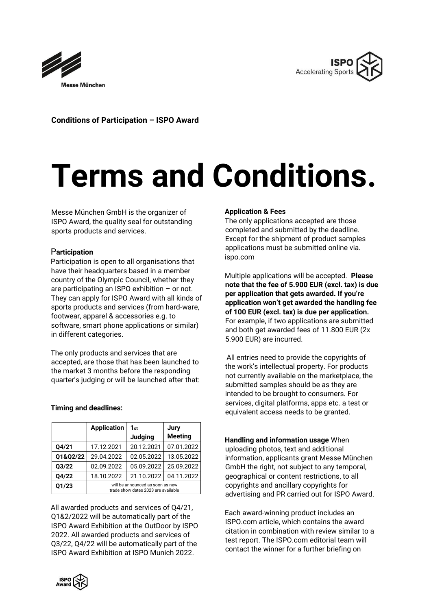



**Conditions of Participation – ISPO Award** 

# **Terms and Conditions.**

Messe München GmbH is the organizer of ISPO Award, the quality seal for outstanding sports products and services.

# P**articipation**

Participation is open to all organisations that have their headquarters based in a member country of the Olympic Council, whether they are participating an ISPO exhibition – or not. They can apply for ISPO Award with all kinds of sports products and services (from hard-ware, footwear, apparel & accessories e.g. to software, smart phone applications or similar) in different categories.

The only products and services that are accepted, are those that has been launched to the market 3 months before the responding quarter's judging or will be launched after that:

# **Timing and deadlines:**

|          | <b>Application</b>                                                      | 1st            | Jury           |
|----------|-------------------------------------------------------------------------|----------------|----------------|
|          |                                                                         | <b>Judging</b> | <b>Meeting</b> |
| Q4/21    | 17.12.2021                                                              | 20.12.2021     | 07.01.2022     |
| Q1&Q2/22 | 29.04.2022                                                              | 02.05.2022     | 13.05.2022     |
| Q3/22    | 02.09.2022                                                              | 05.09.2022     | 25.09.2022     |
| Q4/22    | 18.10.2022                                                              | 21.10.2022     | 04.11.2022     |
| Q1/23    | will be announced as soon as new<br>trade show dates 2023 are available |                |                |

All awarded products and services of Q4/21, Q1&2/2022 will be automatically part of the ISPO Award Exhibition at the OutDoor by ISPO 2022. All awarded products and services of Q3/22, Q4/22 will be automatically part of the ISPO Award Exhibition at ISPO Munich 2022.

# **Application & Fees**

The only applications accepted are those completed and submitted by the deadline. Except for the shipment of product samples applications must be submitted online via. ispo.com

Multiple applications will be accepted. **Please note that the fee of 5.900 EUR (excl. tax) is due per application that gets awarded. If you're application won't get awarded the handling fee of 100 EUR (excl. tax) is due per application.**  For example, if two applications are submitted and both get awarded fees of 11.800 EUR (2x 5.900 EUR) are incurred.

All entries need to provide the copyrights of the work's intellectual property. For products not currently available on the marketplace, the submitted samples should be as they are intended to be brought to consumers. For services, digital platforms, apps etc. a test or equivalent access needs to be granted.

**Handling and information usage** When uploading photos, text and additional information, applicants grant Messe München GmbH the right, not subject to any temporal, geographical or content restrictions, to all copyrights and ancillary copyrights for advertising and PR carried out for ISPO Award.

Each award-winning product includes an ISPO.com article, which contains the award citation in combination with review similar to a test report. The ISPO.com editorial team will contact the winner for a further briefing on

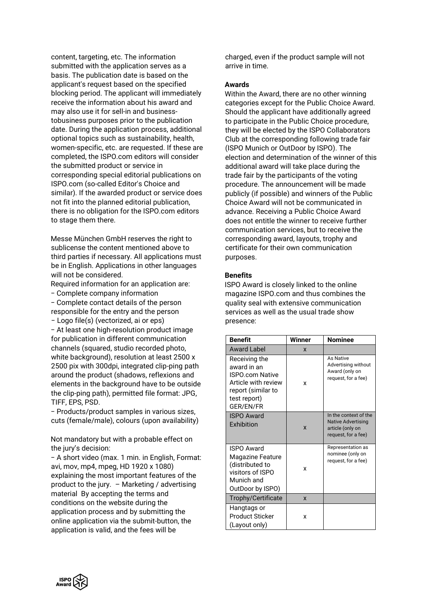content, targeting, etc. The information submitted with the application serves as a basis. The publication date is based on the applicant's request based on the specified blocking period. The applicant will immediately receive the information about his award and may also use it for sell-in and businesstobusiness purposes prior to the publication date. During the application process, additional optional topics such as sustainability, health, women-specific, etc. are requested. If these are completed, the ISPO.com editors will consider the submitted product or service in corresponding special editorial publications on ISPO.com (so-called Editor's Choice and similar). If the awarded product or service does not fit into the planned editorial publication, there is no obligation for the ISPO.com editors to stage them there.

Messe München GmbH reserves the right to sublicense the content mentioned above to third parties if necessary. All applications must be in English. Applications in other languages will not be considered.

Required information for an application are:

− Complete company information

− Complete contact details of the person responsible for the entry and the person

− Logo file(s) (vectorized, ai or eps)

− At least one high-resolution product image for publication in different communication channels (squared, studio recorded photo, white background), resolution at least 2500 x 2500 pix with 300dpi, integrated clip-ping path around the product (shadows, reflexions and elements in the background have to be outside the clip-ping path), permitted file format: JPG, TIFF, EPS, PSD.

− Products/product samples in various sizes, cuts (female/male), colours (upon availability)

Not mandatory but with a probable effect on the jury's decision:

− A short video (max. 1 min. in English, Format: avi, mov, mp4, mpeg, HD 1920 x 1080) explaining the most important features of the product to the jury. – Marketing / advertising material By accepting the terms and conditions on the website during the application process and by submitting the online application via the submit-button, the application is valid, and the fees will be

charged, even if the product sample will not arrive in time.

### **Awards**

Within the Award, there are no other winning categories except for the Public Choice Award. Should the applicant have additionally agreed to participate in the Public Choice procedure, they will be elected by the ISPO Collaborators Club at the corresponding following trade fair (ISPO Munich or OutDoor by ISPO). The election and determination of the winner of this additional award will take place during the trade fair by the participants of the voting procedure. The announcement will be made publicly (if possible) and winners of the Public Choice Award will not be communicated in advance. Receiving a Public Choice Award does not entitle the winner to receive further communication services, but to receive the corresponding award, layouts, trophy and certificate for their own communication purposes.

### **Benefits**

ISPO Award is closely linked to the online magazine ISPO.com and thus combines the quality seal with extensive communication services as well as the usual trade show presence:

| <b>Benefit</b>                                                                                                                   | Winner      | <b>Nominee</b>                                                                                |
|----------------------------------------------------------------------------------------------------------------------------------|-------------|-----------------------------------------------------------------------------------------------|
| Award Label                                                                                                                      | x           |                                                                                               |
| Receiving the<br>award in an<br><b>ISPO com Native</b><br>Article with review<br>report (similar to<br>test report)<br>GER/EN/FR | x           | As Native<br>Advertising without<br>Award (only on<br>request, for a fee)                     |
| <b>ISPO Award</b><br>Exhibition                                                                                                  | $\mathbf x$ | In the context of the<br><b>Native Advertising</b><br>article (only on<br>request, for a fee) |
| <b>ISPO Award</b><br><b>Magazine Feature</b><br>(distributed to<br>visitors of ISPO<br>Munich and<br>OutDoor by ISPO)            | x           | Representation as<br>nominee (only on<br>request, for a fee)                                  |
| Trophy/Certificate                                                                                                               | X           |                                                                                               |
| Hangtags or<br><b>Product Sticker</b><br>(Layout only)                                                                           | x           |                                                                                               |

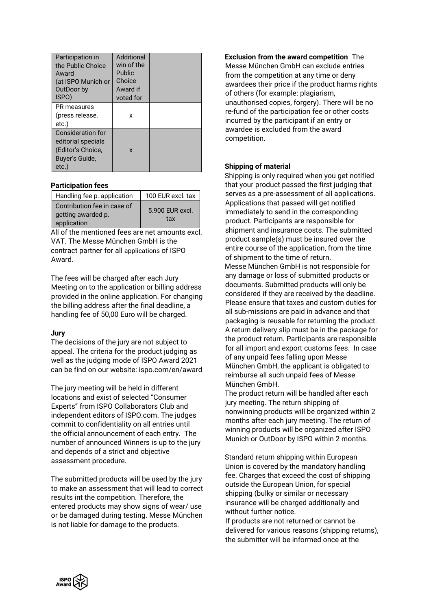| Participation in<br>the Public Choice<br>Award<br>(at ISPO Munich or | Additional<br>win of the<br>Public<br>Choice |  |
|----------------------------------------------------------------------|----------------------------------------------|--|
| OutDoor by                                                           | Award if                                     |  |
| ISPO)                                                                | voted for                                    |  |
| PR measures                                                          |                                              |  |
| (press release,                                                      | x                                            |  |
| etc.)                                                                |                                              |  |
| Consideration for                                                    |                                              |  |
| editorial specials                                                   |                                              |  |
| (Editor's Choice,                                                    | X                                            |  |
| Buyer's Guide,                                                       |                                              |  |
| etc.)                                                                |                                              |  |

# **Participation fees**

| Handling fee p. application                                      | 100 EUR excl. tax      |
|------------------------------------------------------------------|------------------------|
| Contribution fee in case of<br>getting awarded p.<br>application | 5.900 EUR excl.<br>tax |

All of the mentioned fees are net amounts excl. VAT. The Messe München GmbH is the contract partner for all applications of ISPO Award.

The fees will be charged after each Jury Meeting on to the application or billing address provided in the online application. For changing the billing address after the final deadline, a handling fee of 50,00 Euro will be charged.

### **Jury**

The decisions of the jury are not subject to appeal. The criteria for the product judging as well as the judging mode of ISPO Award 2021 can be find on our website: ispo.com/en/award

The jury meeting will be held in different locations and exist of selected "Consumer Experts" from ISPO Collaborators Club and independent editors of ISPO.com. The judges commit to confidentiality on all entries until the official announcement of each entry. The number of announced Winners is up to the jury and depends of a strict and objective assessment procedure.

The submitted products will be used by the jury to make an assessment that will lead to correct results int the competition. Therefore, the entered products may show signs of wear/ use or be damaged during testing. Messe München is not liable for damage to the products.

**Exclusion from the award competition** The Messe München GmbH can exclude entries from the competition at any time or deny awardees their price if the product harms rights of others (for example: plagiarism, unauthorised copies, forgery). There will be no re-fund of the participation fee or other costs incurred by the participant if an entry or awardee is excluded from the award competition.

# **Shipping of material**

Shipping is only required when you get notified that your product passed the first judging that serves as a pre-assessment of all applications. Applications that passed will get notified immediately to send in the corresponding product. Participants are responsible for shipment and insurance costs. The submitted product sample(s) must be insured over the entire course of the application, from the time of shipment to the time of return.

Messe München GmbH is not responsible for any damage or loss of submitted products or documents. Submitted products will only be considered if they are received by the deadline. Please ensure that taxes and custom duties for all sub-missions are paid in advance and that packaging is reusable for returning the product. A return delivery slip must be in the package for the product return. Participants are responsible for all import and export customs fees. In case of any unpaid fees falling upon Messe München GmbH, the applicant is obligated to reimburse all such unpaid fees of Messe München GmbH.

The product return will be handled after each jury meeting. The return shipping of nonwinning products will be organized within 2 months after each jury meeting. The return of winning products will be organized after ISPO Munich or OutDoor by ISPO within 2 months.

Standard return shipping within European Union is covered by the mandatory handling fee. Charges that exceed the cost of shipping outside the European Union, for special shipping (bulky or similar or necessary insurance will be charged additionally and without further notice.

If products are not returned or cannot be delivered for various reasons (shipping returns), the submitter will be informed once at the